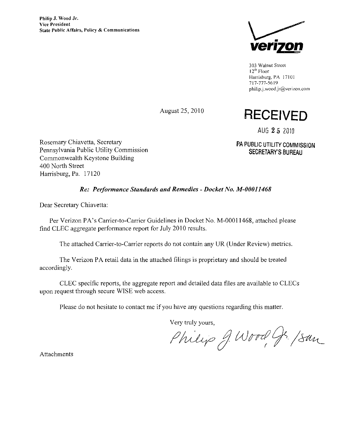

303 Walnut Street  $12<sup>th</sup>$  Floor Harrisburg, PA 17101 717-777-5619 philip.J.wood.jr@venzon,com

August 25, 2010

## RECEIVED

AUG 25 2010

PA PUBLIC UTILITY COMMISSION SECRETARY'S BUREAU

Rosemary Chiavetta, Secretary Pennsylvania Public Utility Commission Commonwealth Keystone Building 400 North Street Harrisburg, Pa. 17120

#### Re: Performance Standards and Remedies - Docket No. M-00011468

Dear Secretary Chiavetta:

Per Verizon PA's Carrier-to-Carrier Guidelines in Docket No. M-00011468, attached please find CLEC aggregate performance report for July 2010 results.

The attached Carrier-to-Carrier reports do not contain any UR (Under Review) metrics.

The Verizon PA retail data in the attached filings is proprietary and should be treated accordingly.

CLEC specific reports, the aggregate report and detailed data files are available to CLECs upon request through secure WISE web access.

Please do not hesitate to contact me if you have any questions regarding this matter.

Very truly yours,

Philip J. Wood G. /San

Attachments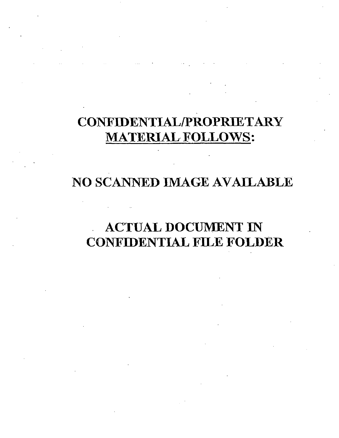# CONFIDENTIAL/PROPRIETARY MATERIAL FOLLOWS:

#### NO SCANNED IMAGE AVAILABLE

### ACTUAL DOCUMENT IN CONFIDENTIAL FILE FOLDER